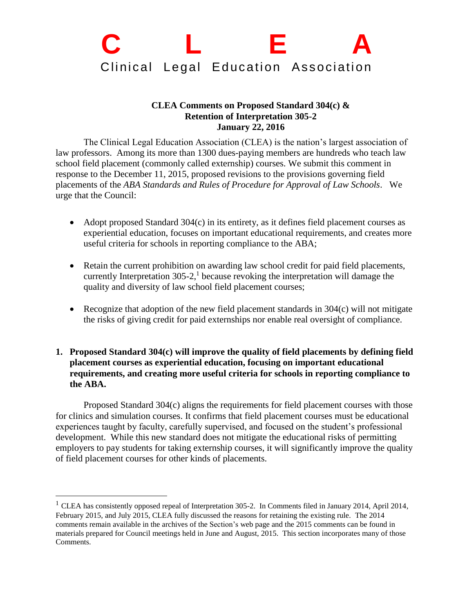## **C L E A** Clinical Legal Education Association

## **CLEA Comments on Proposed Standard 304(c) & Retention of Interpretation 305-2 January 22, 2016**

The Clinical Legal Education Association (CLEA) is the nation's largest association of law professors. Among its more than 1300 dues-paying members are hundreds who teach law school field placement (commonly called externship) courses. We submit this comment in response to the December 11, 2015, proposed revisions to the provisions governing field placements of the *ABA Standards and Rules of Procedure for Approval of Law Schools*. We urge that the Council:

- Adopt proposed Standard 304(c) in its entirety, as it defines field placement courses as experiential education, focuses on important educational requirements, and creates more useful criteria for schools in reporting compliance to the ABA;
- Retain the current prohibition on awarding law school credit for paid field placements, currently Interpretation  $305-2$ ,<sup>1</sup> because revoking the interpretation will damage the quality and diversity of law school field placement courses;
- Recognize that adoption of the new field placement standards in  $304(c)$  will not mitigate the risks of giving credit for paid externships nor enable real oversight of compliance.
- **1. Proposed Standard 304(c) will improve the quality of field placements by defining field placement courses as experiential education, focusing on important educational requirements, and creating more useful criteria for schools in reporting compliance to the ABA.**

Proposed Standard 304(c) aligns the requirements for field placement courses with those for clinics and simulation courses. It confirms that field placement courses must be educational experiences taught by faculty, carefully supervised, and focused on the student's professional development. While this new standard does not mitigate the educational risks of permitting employers to pay students for taking externship courses, it will significantly improve the quality of field placement courses for other kinds of placements.

 $\overline{a}$ 

<sup>&</sup>lt;sup>1</sup> CLEA has consistently opposed repeal of Interpretation 305-2. In Comments filed in January 2014, April 2014, February 2015, and July 2015, CLEA fully discussed the reasons for retaining the existing rule. The 2014 comments remain available in the archives of the Section's web page and the 2015 comments can be found in materials prepared for Council meetings held in June and August, 2015. This section incorporates many of those Comments.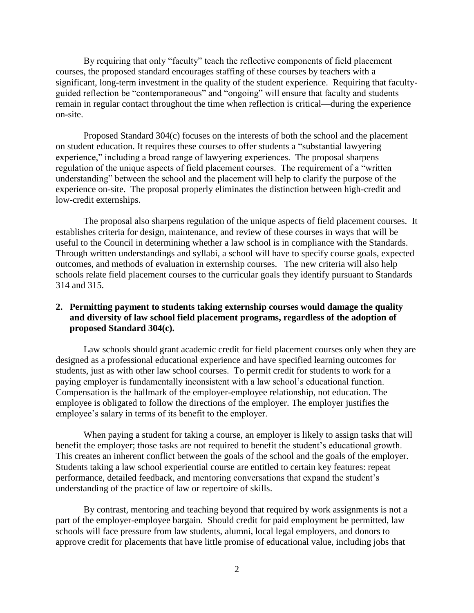By requiring that only "faculty" teach the reflective components of field placement courses, the proposed standard encourages staffing of these courses by teachers with a significant, long-term investment in the quality of the student experience. Requiring that facultyguided reflection be "contemporaneous" and "ongoing" will ensure that faculty and students remain in regular contact throughout the time when reflection is critical—during the experience on-site.

Proposed Standard 304(c) focuses on the interests of both the school and the placement on student education. It requires these courses to offer students a "substantial lawyering experience," including a broad range of lawyering experiences. The proposal sharpens regulation of the unique aspects of field placement courses. The requirement of a "written understanding" between the school and the placement will help to clarify the purpose of the experience on-site. The proposal properly eliminates the distinction between high-credit and low-credit externships.

The proposal also sharpens regulation of the unique aspects of field placement courses. It establishes criteria for design, maintenance, and review of these courses in ways that will be useful to the Council in determining whether a law school is in compliance with the Standards. Through written understandings and syllabi, a school will have to specify course goals, expected outcomes, and methods of evaluation in externship courses. The new criteria will also help schools relate field placement courses to the curricular goals they identify pursuant to Standards 314 and 315.

## **2. Permitting payment to students taking externship courses would damage the quality and diversity of law school field placement programs, regardless of the adoption of proposed Standard 304(c).**

Law schools should grant academic credit for field placement courses only when they are designed as a professional educational experience and have specified learning outcomes for students, just as with other law school courses. To permit credit for students to work for a paying employer is fundamentally inconsistent with a law school's educational function. Compensation is the hallmark of the employer-employee relationship, not education. The employee is obligated to follow the directions of the employer. The employer justifies the employee's salary in terms of its benefit to the employer.

When paying a student for taking a course, an employer is likely to assign tasks that will benefit the employer; those tasks are not required to benefit the student's educational growth. This creates an inherent conflict between the goals of the school and the goals of the employer. Students taking a law school experiential course are entitled to certain key features: repeat performance, detailed feedback, and mentoring conversations that expand the student's understanding of the practice of law or repertoire of skills.

By contrast, mentoring and teaching beyond that required by work assignments is not a part of the employer-employee bargain. Should credit for paid employment be permitted, law schools will face pressure from law students, alumni, local legal employers, and donors to approve credit for placements that have little promise of educational value, including jobs that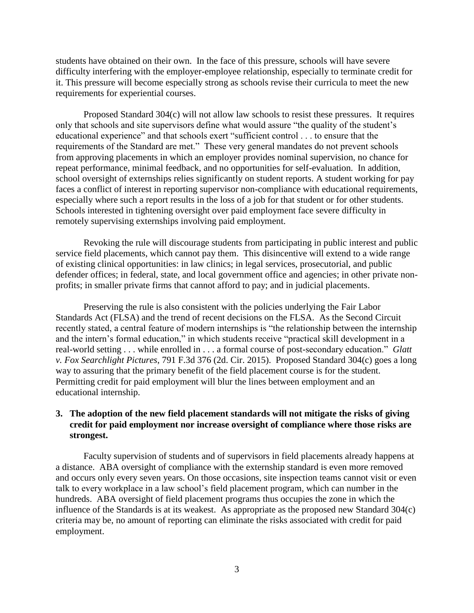students have obtained on their own. In the face of this pressure, schools will have severe difficulty interfering with the employer-employee relationship, especially to terminate credit for it. This pressure will become especially strong as schools revise their curricula to meet the new requirements for experiential courses.

Proposed Standard 304(c) will not allow law schools to resist these pressures. It requires only that schools and site supervisors define what would assure "the quality of the student's educational experience" and that schools exert "sufficient control . . . to ensure that the requirements of the Standard are met." These very general mandates do not prevent schools from approving placements in which an employer provides nominal supervision, no chance for repeat performance, minimal feedback, and no opportunities for self-evaluation. In addition, school oversight of externships relies significantly on student reports. A student working for pay faces a conflict of interest in reporting supervisor non-compliance with educational requirements, especially where such a report results in the loss of a job for that student or for other students. Schools interested in tightening oversight over paid employment face severe difficulty in remotely supervising externships involving paid employment.

Revoking the rule will discourage students from participating in public interest and public service field placements, which cannot pay them. This disincentive will extend to a wide range of existing clinical opportunities: in law clinics; in legal services, prosecutorial, and public defender offices; in federal, state, and local government office and agencies; in other private nonprofits; in smaller private firms that cannot afford to pay; and in judicial placements.

Preserving the rule is also consistent with the policies underlying the Fair Labor Standards Act (FLSA) and the trend of recent decisions on the FLSA. As the Second Circuit recently stated, a central feature of modern internships is "the relationship between the internship and the intern's formal education," in which students receive "practical skill development in a real-world setting . . . while enrolled in . . . a formal course of post-secondary education." *Glatt v. Fox Searchlight Pictures*, 791 F.3d 376 (2d. Cir. 2015). Proposed Standard 304(c) goes a long way to assuring that the primary benefit of the field placement course is for the student. Permitting credit for paid employment will blur the lines between employment and an educational internship.

## **3. The adoption of the new field placement standards will not mitigate the risks of giving credit for paid employment nor increase oversight of compliance where those risks are strongest.**

Faculty supervision of students and of supervisors in field placements already happens at a distance. ABA oversight of compliance with the externship standard is even more removed and occurs only every seven years. On those occasions, site inspection teams cannot visit or even talk to every workplace in a law school's field placement program, which can number in the hundreds. ABA oversight of field placement programs thus occupies the zone in which the influence of the Standards is at its weakest. As appropriate as the proposed new Standard 304(c) criteria may be, no amount of reporting can eliminate the risks associated with credit for paid employment.